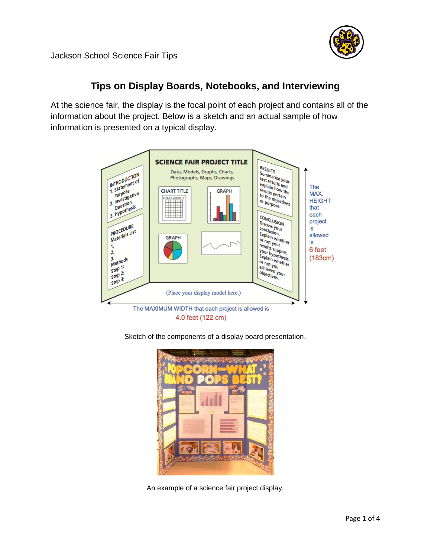

Jackson School Science Fair Tips

## **Tips on Display Boards, Notebooks, and Interviewing**

At the science fair, the display is the focal point of each project and contains all of the information about the project. Below is a sketch and an actual sample of how information is presented on a typical display.



4.0 feet (122 cm)

Sketch of the components of a display board presentation.



An example of a science fair project display.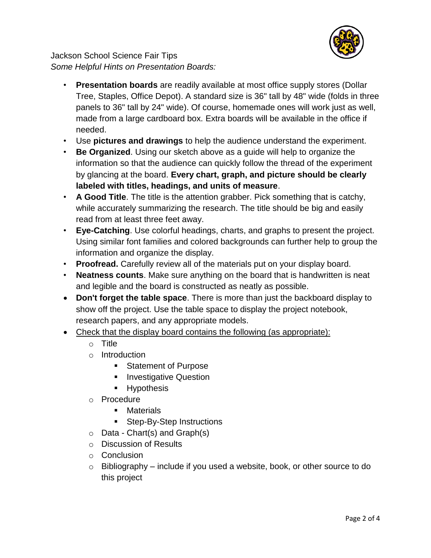

Jackson School Science Fair Tips *Some Helpful Hints on Presentation Boards:* 

- **Presentation boards** are readily available at most office supply stores (Dollar Tree, Staples, Office Depot). A standard size is 36" tall by 48" wide (folds in three panels to 36" tall by 24" wide). Of course, homemade ones will work just as well, made from a large cardboard box. Extra boards will be available in the office if needed.
- Use **pictures and drawings** to help the audience understand the experiment.
- **Be Organized**. Using our sketch above as a guide will help to organize the information so that the audience can quickly follow the thread of the experiment by glancing at the board. **Every chart, graph, and picture should be clearly labeled with titles, headings, and units of measure**.
- **A Good Title**. The title is the attention grabber. Pick something that is catchy, while accurately summarizing the research. The title should be big and easily read from at least three feet away.
- **Eye-Catching**. Use colorful headings, charts, and graphs to present the project. Using similar font families and colored backgrounds can further help to group the information and organize the display.
- **Proofread.** Carefully review all of the materials put on your display board.
- **Neatness counts**. Make sure anything on the board that is handwritten is neat and legible and the board is constructed as neatly as possible.
- **Don't forget the table space**. There is more than just the backboard display to show off the project. Use the table space to display the project notebook, research papers, and any appropriate models.
- Check that the display board contains the following (as appropriate):
	- o Title
	- o Introduction
		- **Statement of Purpose**
		- **Investigative Question**
		- **Hypothesis**
	- o Procedure
		- **Materials**
		- Step-By-Step Instructions
	- $\circ$  Data Chart(s) and Graph(s)
	- o Discussion of Results
	- o Conclusion
	- $\circ$  Bibliography include if you used a website, book, or other source to do this project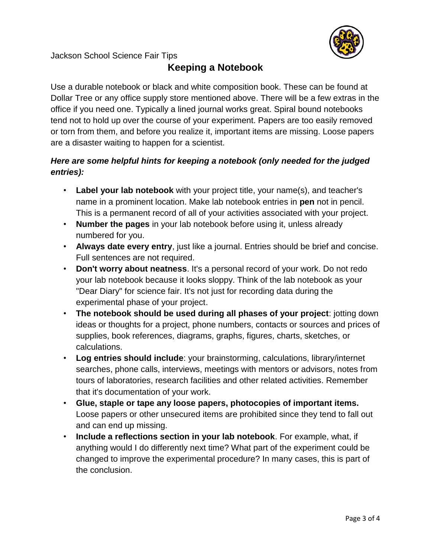

Jackson School Science Fair Tips

## **Keeping a Notebook**

Use a durable notebook or black and white composition book. These can be found at Dollar Tree or any office supply store mentioned above. There will be a few extras in the office if you need one. Typically a lined journal works great. Spiral bound notebooks tend not to hold up over the course of your experiment. Papers are too easily removed or torn from them, and before you realize it, important items are missing. Loose papers are a disaster waiting to happen for a scientist.

## *Here are some helpful hints for keeping a notebook (only needed for the judged entries):*

- **Label your lab notebook** with your project title, your name(s), and teacher's name in a prominent location. Make lab notebook entries in **pen** not in pencil. This is a permanent record of all of your activities associated with your project.
- **Number the pages** in your lab notebook before using it, unless already numbered for you.
- **Always date every entry**, just like a journal. Entries should be brief and concise. Full sentences are not required.
- **Don't worry about neatness**. It's a personal record of your work. Do not redo your lab notebook because it looks sloppy. Think of the lab notebook as your "Dear Diary" for science fair. It's not just for recording data during the experimental phase of your project.
- **The notebook should be used during all phases of your project**: jotting down ideas or thoughts for a project, phone numbers, contacts or sources and prices of supplies, book references, diagrams, graphs, figures, charts, sketches, or calculations.
- **Log entries should include**: your brainstorming, calculations, library/internet searches, phone calls, interviews, meetings with mentors or advisors, notes from tours of laboratories, research facilities and other related activities. Remember that it's documentation of your work.
- **Glue, staple or tape any loose papers, photocopies of important items.** Loose papers or other unsecured items are prohibited since they tend to fall out and can end up missing.
- **Include a reflections section in your lab notebook**. For example, what, if anything would I do differently next time? What part of the experiment could be changed to improve the experimental procedure? In many cases, this is part of the conclusion.